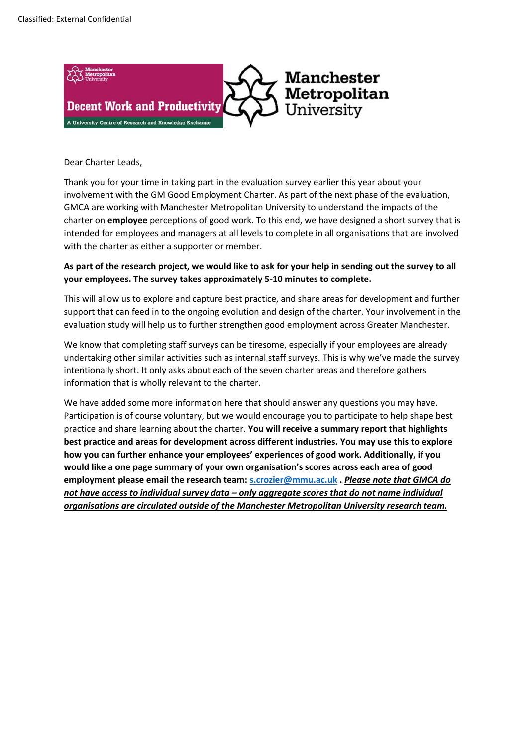

Dear Charter Leads,

Thank you for your time in taking part in the evaluation survey earlier this year about your involvement with the GM Good Employment Charter. As part of the next phase of the evaluation, GMCA are working with Manchester Metropolitan University to understand the impacts of the charter on **employee** perceptions of good work. To this end, we have designed a short survey that is intended for employees and managers at all levels to complete in all organisations that are involved with the charter as either a supporter or member.

## **As part of the research project, we would like to ask for your help in sending out the survey to all your employees. The survey takes approximately 5-10 minutes to complete.**

This will allow us to explore and capture best practice, and share areas for development and further support that can feed in to the ongoing evolution and design of the charter. Your involvement in the evaluation study will help us to further strengthen good employment across Greater Manchester.

We know that completing staff surveys can be tiresome, especially if your employees are already undertaking other similar activities such as internal staff surveys. This is why we've made the survey intentionally short. It only asks about each of the seven charter areas and therefore gathers information that is wholly relevant to the charter.

We have added some more information here that should answer any questions you may have. Participation is of course voluntary, but we would encourage you to participate to help shape best practice and share learning about the charter. **You will receive a summary report that highlights best practice and areas for development across different industries. You may use this to explore how you can further enhance your employees' experiences of good work. Additionally, if you would like a one page summary of your own organisation's scores across each area of good employment please email the research team: [s.crozier@mmu.ac.uk](mailto:s.crozier@mmu.ac.uk) .** *Please note that GMCA do not have access to individual survey data – only aggregate scores that do not name individual organisations are circulated outside of the Manchester Metropolitan University research team.*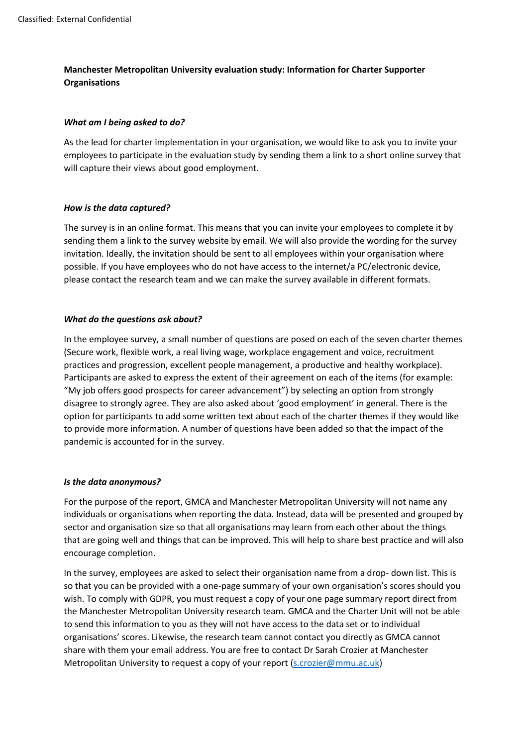# **Manchester Metropolitan University evaluation study: Information for Charter Supporter Organisations**

## *What am I being asked to do?*

As the lead for charter implementation in your organisation, we would like to ask you to invite your employees to participate in the evaluation study by sending them a link to a short online survey that will capture their views about good employment.

## *How is the data captured?*

The survey is in an online format. This means that you can invite your employees to complete it by sending them a link to the survey website by email. We will also provide the wording for the survey invitation. Ideally, the invitation should be sent to all employees within your organisation where possible. If you have employees who do not have access to the internet/a PC/electronic device, please contact the research team and we can make the survey available in different formats.

## *What do the questions ask about?*

In the employee survey, a small number of questions are posed on each of the seven charter themes (Secure work, flexible work, a real living wage, workplace engagement and voice, recruitment practices and progression, excellent people management, a productive and healthy workplace). Participants are asked to express the extent of their agreement on each of the items (for example: "My job offers good prospects for career advancement") by selecting an option from strongly disagree to strongly agree. They are also asked about 'good employment' in general. There is the option for participants to add some written text about each of the charter themes if they would like to provide more information. A number of questions have been added so that the impact of the pandemic is accounted for in the survey.

#### *Is the data anonymous?*

For the purpose of the report, GMCA and Manchester Metropolitan University will not name any individuals or organisations when reporting the data. Instead, data will be presented and grouped by sector and organisation size so that all organisations may learn from each other about the things that are going well and things that can be improved. This will help to share best practice and will also encourage completion.

In the survey, employees are asked to select their organisation name from a drop- down list. This is so that you can be provided with a one-page summary of your own organisation's scores should you wish. To comply with GDPR, you must request a copy of your one page summary report direct from the Manchester Metropolitan University research team. GMCA and the Charter Unit will not be able to send this information to you as they will not have access to the data set or to individual organisations' scores. Likewise, the research team cannot contact you directly as GMCA cannot share with them your email address. You are free to contact Dr Sarah Crozier at Manchester Metropolitan University to request a copy of your report [\(s.crozier@mmu.ac.uk\)](mailto:s.crozier@mmu.ac.uk)